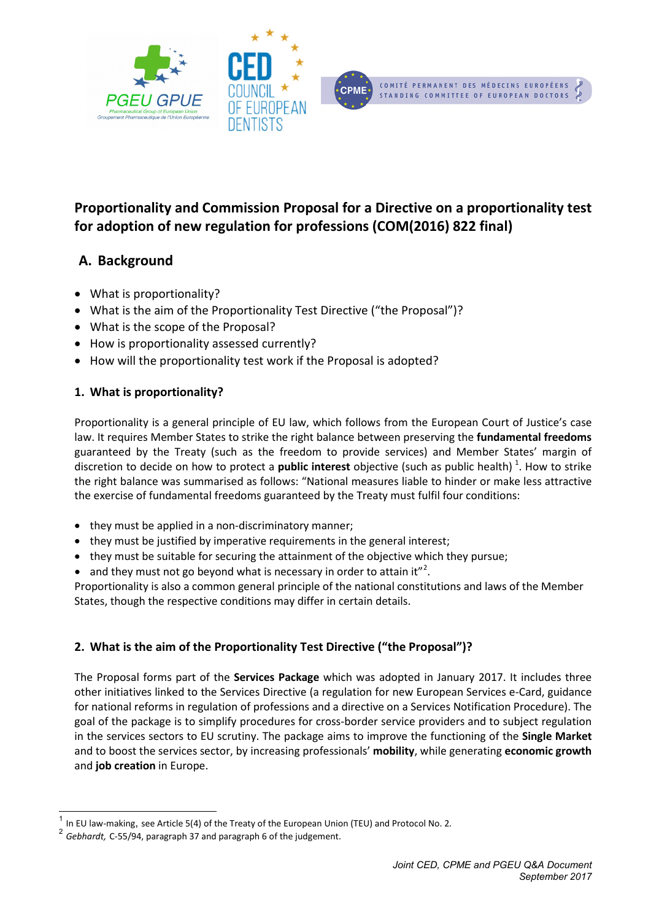

# **Proportionality and Commission Proposal for a Directive on a proportionality test for adoption of new regulation for professions (COM(2016) 822 final)**

# **A. Background**

- What is proportionality?
- What is the aim of the Proportionality Test Directive ("the Proposal")?
- What is the scope of the Proposal?
- How is proportionality assessed currently?
- How will the proportionality test work if the Proposal is adopted?

## **1. What is proportionality?**

Proportionality is a general principle of EU law, which follows from the European Court of Justice's case law. It requires Member States to strike the right balance between preserving the **fundamental freedoms** guaranteed by the Treaty (such as the freedom to provide services) and Member States' margin of discretion to decide on how to protect a **public interest** objective (such as public health)<sup>[1](#page-0-0)</sup>. How to strike the right balance was summarised as follows: "National measures liable to hinder or make less attractive the exercise of fundamental freedoms guaranteed by the Treaty must fulfil four conditions:

- they must be applied in a non-discriminatory manner;
- they must be justified by imperative requirements in the general interest;
- they must be suitable for securing the attainment of the objective which they pursue;
- $\bullet$  and they must not go beyond what is necessary in order to attain it"<sup>[2](#page-0-1)</sup>.

Proportionality is also a common general principle of the national constitutions and laws of the Member States, though the respective conditions may differ in certain details.

## **2. What is the aim of the Proportionality Test Directive ("the Proposal")?**

The Proposal forms part of the **Services Package** which was adopted in January 2017. It includes three other initiatives linked to the Services Directive (a regulation for new European Services e-Card, guidance for national reforms in regulation of professions and a directive on a Services Notification Procedure). The goal of the package is to simplify procedures for cross-border service providers and to subject regulation in the services sectors to EU scrutiny. The package aims to improve the functioning of the **Single Market** and to boost the services sector, by increasing professionals' **mobility**, while generating **economic growth** and **job creation** in Europe.

In EU law-making, see Article 5(4) of the Treaty of the European Union (TEU) and Protocol No. 2.

<span id="page-0-1"></span><span id="page-0-0"></span><sup>2</sup> *Gebhardt,* C-55/94, paragraph 37 and paragraph 6 of the judgement.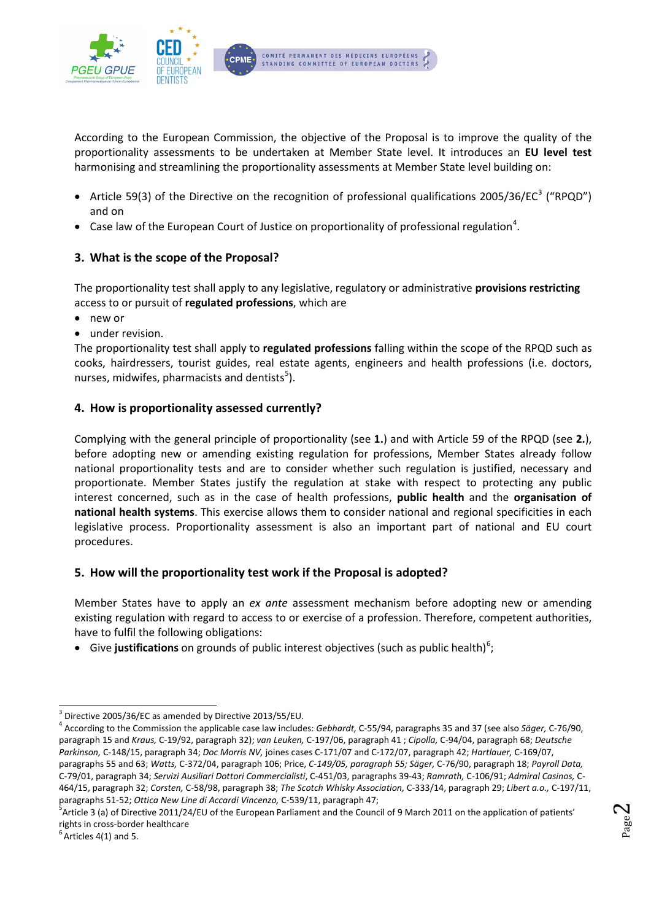

According to the European Commission, the objective of the Proposal is to improve the quality of the proportionality assessments to be undertaken at Member State level. It introduces an **EU level test** harmonising and streamlining the proportionality assessments at Member State level building on:

- Article 59([3](#page-1-0)) of the Directive on the recognition of professional qualifications 2005/36/EC<sup>3</sup> ("RPQD") and on
- Case law of the European Court of Justice on proportionality of professional regulation<sup>[4](#page-1-1)</sup>.

## **3. What is the scope of the Proposal?**

The proportionality test shall apply to any legislative, regulatory or administrative **provisions restricting** access to or pursuit of **regulated professions**, which are

- new or
- under revision.

The proportionality test shall apply to **regulated professions** falling within the scope of the RPQD such as cooks, hairdressers, tourist guides, real estate agents, engineers and health professions (i.e. doctors, nurses, midwifes, pharmacists and dentists<sup>[5](#page-1-2)</sup>).

#### **4. How is proportionality assessed currently?**

Complying with the general principle of proportionality (see **1.**) and with Article 59 of the RPQD (see **2.**), before adopting new or amending existing regulation for professions, Member States already follow national proportionality tests and are to consider whether such regulation is justified, necessary and proportionate. Member States justify the regulation at stake with respect to protecting any public interest concerned, such as in the case of health professions, **public health** and the **organisation of national health systems**. This exercise allows them to consider national and regional specificities in each legislative process. Proportionality assessment is also an important part of national and EU court procedures.

#### **5. How will the proportionality test work if the Proposal is adopted?**

Member States have to apply an *ex ante* assessment mechanism before adopting new or amending existing regulation with regard to access to or exercise of a profession. Therefore, competent authorities, have to fulfil the following obligations:

**•** Give justifications on grounds of public interest objectives (such as public health)<sup>[6](#page-1-3)</sup>;

<span id="page-1-2"></span> $^5$ Article 3 (a) of Directive 2011/24/EU of the European Parliament and the Council of 9 March 2011 on the application of patients' rights in cross-border healthcare <sup>6</sup>

<span id="page-1-3"></span> $<sup>6</sup>$  Articles 4(1) and 5.</sup>

<span id="page-1-0"></span><sup>3</sup> Directive 2005/36/EC as amended by Directive 2013/55/EU.

<span id="page-1-1"></span><sup>4</sup> According to the Commission the applicable case law includes: *Gebhardt,* C-55/94, paragraphs 35 and 37 (see also *Säger,* C-76/90, paragraph 15 and *Kraus,* C-19/92, paragraph 32); *van Leuken,* C-197/06, paragraph 41 ; *Cipolla,* C-94/04, paragraph 68; *Deutsche Parkinson,* C-148/15, paragraph 34; *Doc Morris NV,* joines cases C-171/07 and C-172/07, paragraph 42; *Hartlauer,* C-169/07, paragraphs 55 and 63; *Watts,* C-372/04, paragraph 106; Price, *C-149/05, paragraph 55; Säger,* C-76/90, paragraph 18; *Payroll Data,*  C-79/01, paragraph 34; *Servizi Ausiliari Dottori Commercialisti*, C-451/03, paragraphs 39-43; *Ramrath,* C-106/91; *Admiral Casinos,* C-464/15, paragraph 32; *Corsten,* C-58/98, paragraph 38; *The Scotch Whisky Association,* C-333/14, paragraph 29; *Libert a.o.,* C-197/11, paragraphs 51-52; *Ottica New Line di Accardi Vincenzo,* C-539/11, paragraph 47; 5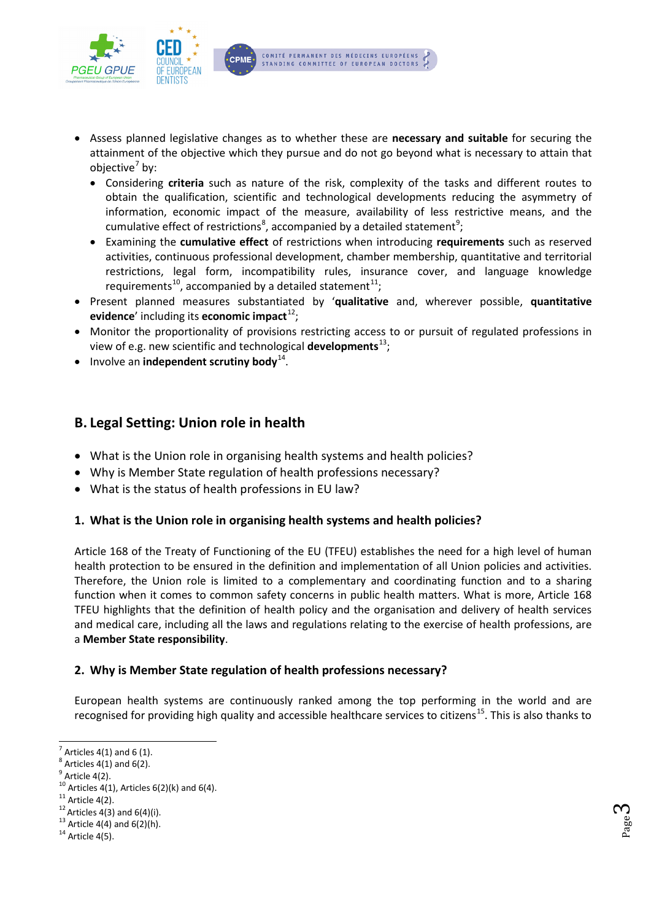

- Assess planned legislative changes as to whether these are **necessary and suitable** for securing the attainment of the objective which they pursue and do not go beyond what is necessary to attain that objective $\frac{7}{2}$  $\frac{7}{2}$  $\frac{7}{2}$  by:
	- Considering **criteria** such as nature of the risk, complexity of the tasks and different routes to obtain the qualification, scientific and technological developments reducing the asymmetry of information, economic impact of the measure, availability of less restrictive means, and the cumulative effect of restrictions<sup>[8](#page-2-1)</sup>, accompanied by a detailed statement<sup>[9](#page-2-2)</sup>;
	- Examining the **cumulative effect** of restrictions when introducing **requirements** such as reserved activities, continuous professional development, chamber membership, quantitative and territorial restrictions, legal form, incompatibility rules, insurance cover, and language knowledge requirements<sup>10</sup>, accompanied by a detailed statement<sup>11</sup>;
- Present planned measures substantiated by '**qualitative** and, wherever possible, **quantitative evidence**' including its **economic impact**<sup>[12](#page-2-5)</sup>;
- Monitor the proportionality of provisions restricting access to or pursuit of regulated professions in view of e.g. new scientific and technological **developments**[13](#page-2-6) ;
- Involve an **independent scrutiny body**[14](#page-2-7).

## **B. Legal Setting: Union role in health**

- What is the Union role in organising health systems and health policies?
- Why is Member State regulation of health professions necessary?
- What is the status of health professions in EU law?

#### **1. What is the Union role in organising health systems and health policies?**

Article 168 of the Treaty of Functioning of the EU (TFEU) establishes the need for a high level of human health protection to be ensured in the definition and implementation of all Union policies and activities. Therefore, the Union role is limited to a complementary and coordinating function and to a sharing function when it comes to common safety concerns in public health matters. What is more, Article 168 TFEU highlights that the definition of health policy and the organisation and delivery of health services and medical care, including all the laws and regulations relating to the exercise of health professions, are a **Member State responsibility**.

## **2. Why is Member State regulation of health professions necessary?**

European health systems are continuously ranked among the top performing in the world and are recognised for providing high quality and accessible healthcare services to citizens<sup>[15](#page-2-2)</sup>. This is also thanks to

<span id="page-2-0"></span> $<sup>7</sup>$  Articles 4(1) and 6 (1).</sup>

<span id="page-2-1"></span> $^8$  Articles 4(1) and 6(2).

 $<sup>9</sup>$  Article 4(2).</sup>

<span id="page-2-3"></span><span id="page-2-2"></span><sup>&</sup>lt;sup>10</sup> Articles 4(1), Articles 6(2)(k) and 6(4).<br><sup>11</sup> Article 4(2).<br><sup>12</sup> Articles 4(3) and 6(4)(i).<br><sup>13</sup> Article 4(4) and 6(2)(h).<br><sup>14</sup> Article 4(5).

<span id="page-2-4"></span>

<span id="page-2-5"></span>

<span id="page-2-6"></span>

<span id="page-2-7"></span>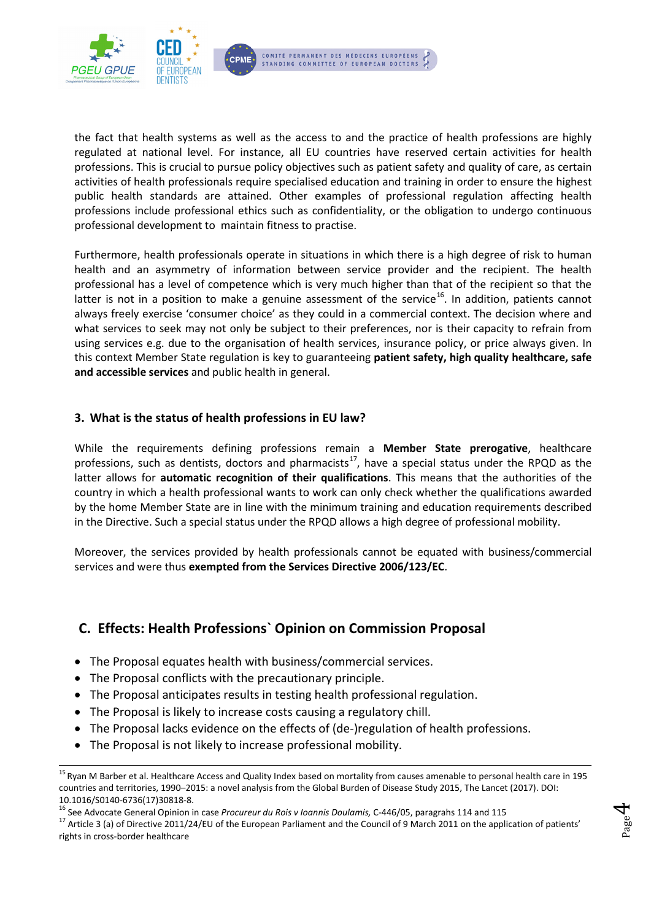

the fact that health systems as well as the access to and the practice of health professions are highly regulated at national level. For instance, all EU countries have reserved certain activities for health professions. This is crucial to pursue policy objectives such as patient safety and quality of care, as certain activities of health professionals require specialised education and training in order to ensure the highest public health standards are attained. Other examples of professional regulation affecting health professions include professional ethics such as confidentiality, or the obligation to undergo continuous professional development to maintain fitness to practise.

Furthermore, health professionals operate in situations in which there is a high degree of risk to human health and an asymmetry of information between service provider and the recipient. The health professional has a level of competence which is very much higher than that of the recipient so that the latter is not in a position to make a genuine assessment of the service<sup>[16](#page-3-0)</sup>. In addition, patients cannot always freely exercise 'consumer choice' as they could in a commercial context. The decision where and what services to seek may not only be subject to their preferences, nor is their capacity to refrain from using services e.g. due to the organisation of health services, insurance policy, or price always given. In this context Member State regulation is key to guaranteeing **patient safety, high quality healthcare, safe and accessible services** and public health in general.

#### **3. What is the status of health professions in EU law?**

While the requirements defining professions remain a **Member State prerogative**, healthcare professions, such as dentists, doctors and pharmacists<sup>17</sup>, have a special status under the RPQD as the latter allows for **automatic recognition of their qualifications**. This means that the authorities of the country in which a health professional wants to work can only check whether the qualifications awarded by the home Member State are in line with the minimum training and education requirements described in the Directive. Such a special status under the RPQD allows a high degree of professional mobility.

Moreover, the services provided by health professionals cannot be equated with business/commercial services and were thus **exempted from the Services Directive 2006/123/EC**.

# **C. Effects: Health Professions` Opinion on Commission Proposal**

- The Proposal equates health with business/commercial services.
- The Proposal conflicts with the precautionary principle.
- The Proposal anticipates results in testing health professional regulation.
- The Proposal is likely to increase costs causing a regulatory chill.
- The Proposal lacks evidence on the effects of (de-)regulation of health professions.
- The Proposal is not likely to increase professional mobility.

Page  $\overline{\mathcal{A}}$ 

<sup>&</sup>lt;sup>15</sup> Ryan M Barber et al. Healthcare Access and Quality Index based on mortality from causes amenable to personal health care in 195 countries and territories, 1990–2015: a novel analysis from the Global Burden of Disease Study 2015, The Lancet (2017). DOI:

<span id="page-3-1"></span>

<span id="page-3-0"></span><sup>10.1016/</sup>S0140-6736(17)30818-8.<br><sup>16</sup> See Advocate General Opinion in case *Procureur du Rois v Ioannis Doulamis,* C-446/05, paragrahs 114 and 115<br><sup>17</sup> Article 3 (a) of Directive 2011/24/EU of the European Parliament and the rights in cross-border healthcare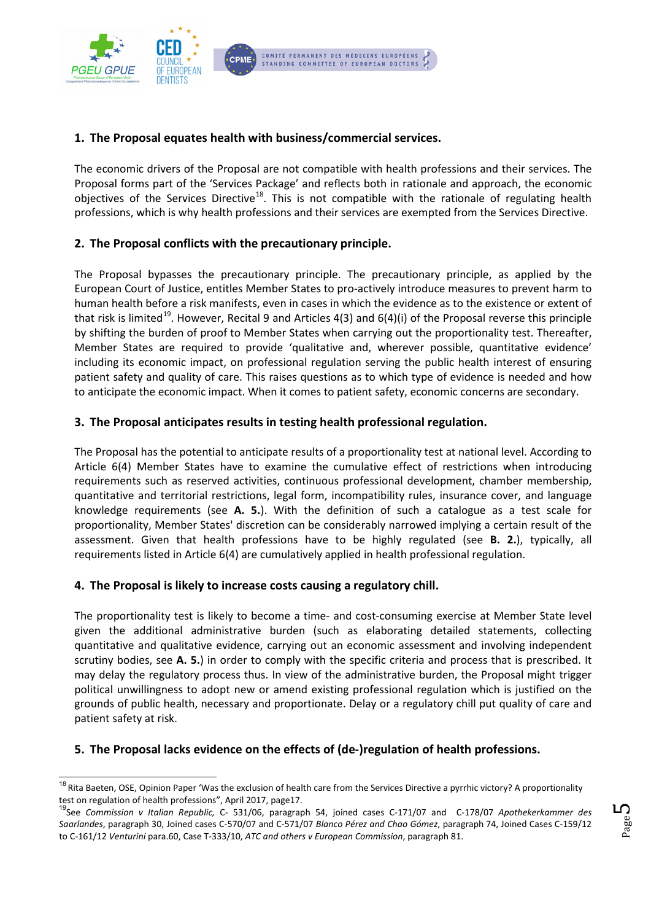

### **1. The Proposal equates health with business/commercial services.**

The economic drivers of the Proposal are not compatible with health professions and their services. The Proposal forms part of the 'Services Package' and reflects both in rationale and approach, the economic objectives of the Services Directive<sup>18</sup>. This is not compatible with the rationale of regulating health professions, which is why health professions and their services are exempted from the Services Directive.

#### **2. The Proposal conflicts with the precautionary principle.**

The Proposal bypasses the precautionary principle. The precautionary principle, as applied by the European Court of Justice, entitles Member States to pro-actively introduce measures to prevent harm to human health before a risk manifests, even in cases in which the evidence as to the existence or extent of that risk is limited<sup>[19](#page-4-1)</sup>. However, Recital 9 and Articles 4(3) and  $6(4)(i)$  of the Proposal reverse this principle by shifting the burden of proof to Member States when carrying out the proportionality test. Thereafter, Member States are required to provide 'qualitative and, wherever possible, quantitative evidence' including its economic impact, on professional regulation serving the public health interest of ensuring patient safety and quality of care. This raises questions as to which type of evidence is needed and how to anticipate the economic impact. When it comes to patient safety, economic concerns are secondary.

#### **3. The Proposal anticipates results in testing health professional regulation.**

The Proposal has the potential to anticipate results of a proportionality test at national level. According to Article 6(4) Member States have to examine the cumulative effect of restrictions when introducing requirements such as reserved activities, continuous professional development, chamber membership, quantitative and territorial restrictions, legal form, incompatibility rules, insurance cover, and language knowledge requirements (see **A. 5.**). With the definition of such a catalogue as a test scale for proportionality, Member States' discretion can be considerably narrowed implying a certain result of the assessment. Given that health professions have to be highly regulated (see **B. 2.**), typically, all requirements listed in Article 6(4) are cumulatively applied in health professional regulation.

#### **4. The Proposal is likely to increase costs causing a regulatory chill.**

The proportionality test is likely to become a time- and cost-consuming exercise at Member State level given the additional administrative burden (such as elaborating detailed statements, collecting quantitative and qualitative evidence, carrying out an economic assessment and involving independent scrutiny bodies, see **A. 5.**) in order to comply with the specific criteria and process that is prescribed. It may delay the regulatory process thus. In view of the administrative burden, the Proposal might trigger political unwillingness to adopt new or amend existing professional regulation which is justified on the grounds of public health, necessary and proportionate. Delay or a regulatory chill put quality of care and patient safety at risk.

#### **5. The Proposal lacks evidence on the effects of (de-)regulation of health professions.**

Page ம

<span id="page-4-0"></span><sup>&</sup>lt;sup>18</sup> Rita Baeten, OSE, Opinion Paper 'Was the exclusion of health care from the Services Directive a pyrrhic victory? A proportionality test on regulation of health professions", April 2017, page17.<br><sup>19</sup>See *Commission v Italian Republic, C*- 531/06, paragraph 54, joined cases C-171/07 and C-178/07 *Apothekerkammer des* 

<span id="page-4-1"></span>*Saarlandes*, paragraph 30, Joined cases C-570/07 and C-571/07 *Blanco Pérez and Chao Gómez*, paragraph 74, Joined Cases C-159/12 to C-161/12 *Venturini* para.60, Case T-333/10, *ATC and others v European Commission*, paragraph 81.